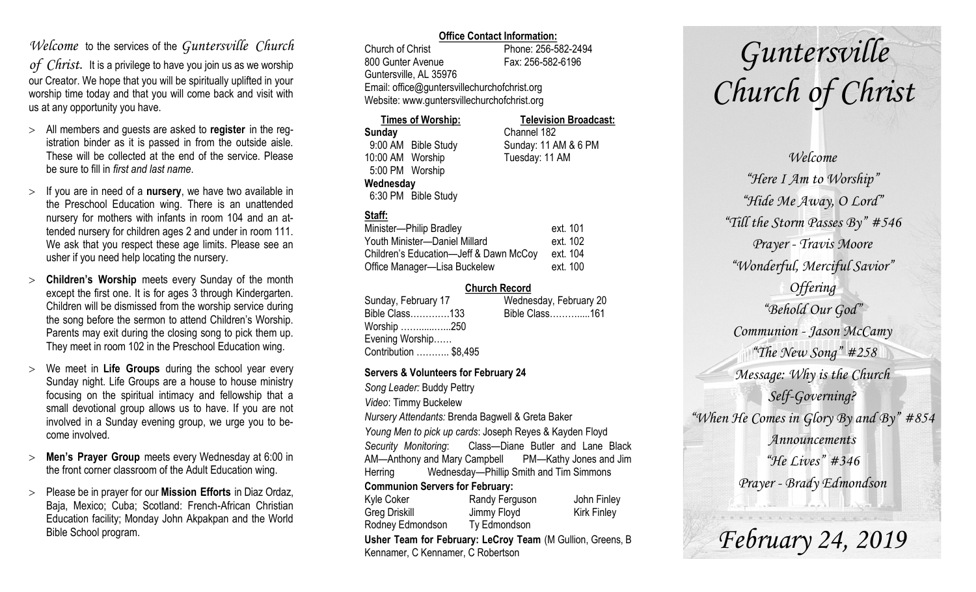# *Welcome* to the services of the *Guntersville Church*

*of Christ*. It is a privilege to have you join us as we worship our Creator. We hope that you will be spiritually uplifted in your worship time today and that you will come back and visit with us at any opportunity you have.

- All members and guests are asked to **register** in the registration binder as it is passed in from the outside aisle. These will be collected at the end of the service. Please be sure to fill in *first and last name*.
- $>$  If you are in need of a **nursery**, we have two available in the Preschool Education wing. There is an unattended nursery for mothers with infants in room 104 and an attended nursery for children ages 2 and under in room 111. We ask that you respect these age limits. Please see an usher if you need help locating the nursery.
- **Children's Worship** meets every Sunday of the month except the first one. It is for ages 3 through Kindergarten. Children will be dismissed from the worship service during the song before the sermon to attend Children's Worship. Parents may exit during the closing song to pick them up. They meet in room 102 in the Preschool Education wing.
- We meet in **Life Groups** during the school year every Sunday night. Life Groups are a house to house ministry focusing on the spiritual intimacy and fellowship that a small devotional group allows us to have. If you are not involved in a Sunday evening group, we urge you to become involved.
- **Men's Prayer Group** meets every Wednesday at 6:00 in the front corner classroom of the Adult Education wing.
- Please be in prayer for our **Mission Efforts** in Diaz Ordaz, Baja, Mexico; Cuba; Scotland: French-African Christian Education facility; Monday John Akpakpan and the World Bible School program.

### **Office Contact Information:**

Church of Christ Phone: 256-582-2494 800 Gunter Avenue Fax: 256-582-6196 Guntersville, AL 35976 Email: office@guntersvillechurchofchrist.org Website: www.guntersvillechurchofchrist.org

| <b>Times of Worship:</b> |                     | <b>Television Broadcast:</b> |  |
|--------------------------|---------------------|------------------------------|--|
| Sunday                   |                     | Channel 182                  |  |
|                          | 9:00 AM Bible Study | Sunday: 11 AM & 6 PM         |  |
| 10:00 AM Worship         |                     | Tuesday: 11 AM               |  |
| 5:00 PM Worship          |                     |                              |  |
| Wednesday                |                     |                              |  |
|                          | 6:30 PM Bible Study |                              |  |

## **Staff:**

| Minister-Philip Bradley                | ext. 101 |
|----------------------------------------|----------|
| Youth Minister-Daniel Millard          | ext. 102 |
| Children's Education-Jeff & Dawn McCoy | ext. 104 |
| Office Manager-Lisa Buckelew           | ext. 100 |

#### **Church Record**

| Sunday, February 17   | Wednesday, February 20 |
|-----------------------|------------------------|
| Bible Class133        | Bible Class161         |
| Worship 250           |                        |
| Evening Worship       |                        |
| Contribution  \$8,495 |                        |

#### **Servers & Volunteers for February 24**

*Song Leader:* Buddy Pettry *Video*: Timmy Buckelew *Nursery Attendants:* Brenda Bagwell & Greta Baker *Young Men to pick up cards*: Joseph Reyes & Kayden Floyd *Security Monitoring*: Class—Diane Butler and Lane Black AM—Anthony and Mary Campbell PM—Kathy Jones and Jim Herring Wednesday—Phillip Smith and Tim Simmons **Communion Servers for February:**  Kyle Coker **Randy Ferguson** John Finley Greg Driskill **Jimmy Floyd** Kirk Finley Rodney Edmondson Ty Edmondson

**Usher Team for February: LeCroy Team** (M Gullion, Greens, B Kennamer, C Kennamer, C Robertson

# *Guntersville Church of Christ*

*Welcome "Here I Am to Worship" "Hide Me Away, O Lord" "Till the Storm Passes By" #546 Prayer - Travis Moore "Wonderful, Merciful Savior" Offering "Behold Our God" Communion - Jason McCamy "The New Song" #258 Message: Why is the Church Self-Governing? "When He Comes in Glory By and By" #854 Announcements "He Lives" #346 Prayer - Brady Edmondson*

*February 24, 2019*